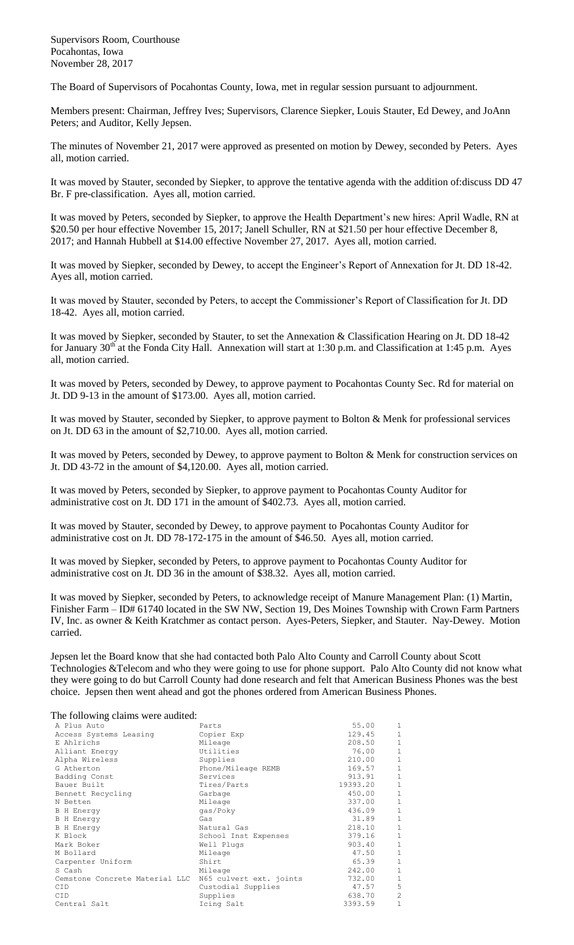Supervisors Room, Courthouse Pocahontas, Iowa November 28, 2017

The Board of Supervisors of Pocahontas County, Iowa, met in regular session pursuant to adjournment.

Members present: Chairman, Jeffrey Ives; Supervisors, Clarence Siepker, Louis Stauter, Ed Dewey, and JoAnn Peters; and Auditor, Kelly Jepsen.

The minutes of November 21, 2017 were approved as presented on motion by Dewey, seconded by Peters. Ayes all, motion carried.

It was moved by Stauter, seconded by Siepker, to approve the tentative agenda with the addition of:discuss DD 47 Br. F pre-classification. Ayes all, motion carried.

It was moved by Peters, seconded by Siepker, to approve the Health Department's new hires: April Wadle, RN at \$20.50 per hour effective November 15, 2017; Janell Schuller, RN at \$21.50 per hour effective December 8, 2017; and Hannah Hubbell at \$14.00 effective November 27, 2017. Ayes all, motion carried.

It was moved by Siepker, seconded by Dewey, to accept the Engineer's Report of Annexation for Jt. DD 18-42. Ayes all, motion carried.

It was moved by Stauter, seconded by Peters, to accept the Commissioner's Report of Classification for Jt. DD 18-42. Ayes all, motion carried.

It was moved by Siepker, seconded by Stauter, to set the Annexation & Classification Hearing on Jt. DD 18-42 for January  $30<sup>th</sup>$  at the Fonda City Hall. Annexation will start at 1:30 p.m. and Classification at 1:45 p.m. Ayes all, motion carried.

It was moved by Peters, seconded by Dewey, to approve payment to Pocahontas County Sec. Rd for material on Jt. DD 9-13 in the amount of \$173.00. Ayes all, motion carried.

It was moved by Stauter, seconded by Siepker, to approve payment to Bolton & Menk for professional services on Jt. DD 63 in the amount of \$2,710.00. Ayes all, motion carried.

It was moved by Peters, seconded by Dewey, to approve payment to Bolton & Menk for construction services on Jt. DD 43-72 in the amount of \$4,120.00. Ayes all, motion carried.

It was moved by Peters, seconded by Siepker, to approve payment to Pocahontas County Auditor for administrative cost on Jt. DD 171 in the amount of \$402.73. Ayes all, motion carried.

It was moved by Stauter, seconded by Dewey, to approve payment to Pocahontas County Auditor for administrative cost on Jt. DD 78-172-175 in the amount of \$46.50. Ayes all, motion carried.

It was moved by Siepker, seconded by Peters, to approve payment to Pocahontas County Auditor for administrative cost on Jt. DD 36 in the amount of \$38.32. Ayes all, motion carried.

It was moved by Siepker, seconded by Peters, to acknowledge receipt of Manure Management Plan: (1) Martin, Finisher Farm – ID# 61740 located in the SW NW, Section 19, Des Moines Township with Crown Farm Partners IV, Inc. as owner & Keith Kratchmer as contact person. Ayes-Peters, Siepker, and Stauter. Nay-Dewey. Motion carried.

Jepsen let the Board know that she had contacted both Palo Alto County and Carroll County about Scott Technologies &Telecom and who they were going to use for phone support. Palo Alto County did not know what they were going to do but Carroll County had done research and felt that American Business Phones was the best choice. Jepsen then went ahead and got the phones ordered from American Business Phones.

## The following claims were audited:

| The Tono wing channol were address. |                         |          |                |
|-------------------------------------|-------------------------|----------|----------------|
| A Plus Auto                         | Parts                   | 55.00    | 1              |
| Access Systems Leasing              | Copier Exp              | 129.45   | $1\,$          |
| E Ahlrichs                          | Mileage                 | 208.50   | $\,1\,$        |
| Alliant Energy                      | Utilities               | 76.00    | $1\,$          |
| Alpha Wireless                      | Supplies                | 210.00   | $\mathbf 1$    |
| G Atherton                          | Phone/Mileage REMB      | 169.57   | $\mathbf 1$    |
| Badding Const                       | Services                | 913.91   | $1\,$          |
| Bauer Built                         | Tires/Parts             | 19393.20 | $\,1$          |
| Bennett Recycling                   | Garbage                 | 450.00   | $\,1\,$        |
| N Betten                            | Mileage                 | 337.00   | $\,1\,$        |
| <b>B</b> H Energy                   | qas/Poky                | 436.09   | $\mathbf 1$    |
| <b>B</b> H Energy                   | Gas                     | 31.89    | $\,1\,$        |
| <b>B</b> H Energy                   | Natural Gas             | 218.10   | $1\,$          |
| K Block                             | School Inst Expenses    | 379.16   | $\mathbf 1$    |
| Mark Boker                          | Well Plugs              | 903.40   | $\mathbf 1$    |
| M Bollard                           | Mileage                 | 47.50    | $1\,$          |
| Carpenter Uniform                   | Shirt                   | 65.39    | $\mathbf 1$    |
| S Cash                              | Mileage                 | 242.00   | $\mathbf 1$    |
| Cemstone Concrete Material LLC      | N65 culvert ext. joints | 732.00   | $\,1\,$        |
| <b>CID</b>                          | Custodial Supplies      | 47.57    | 5              |
| <b>CID</b>                          | Supplies                | 638.70   | $\overline{c}$ |
| Central Salt                        | Icing Salt              | 3393.59  | $\mathbf{1}$   |
|                                     |                         |          |                |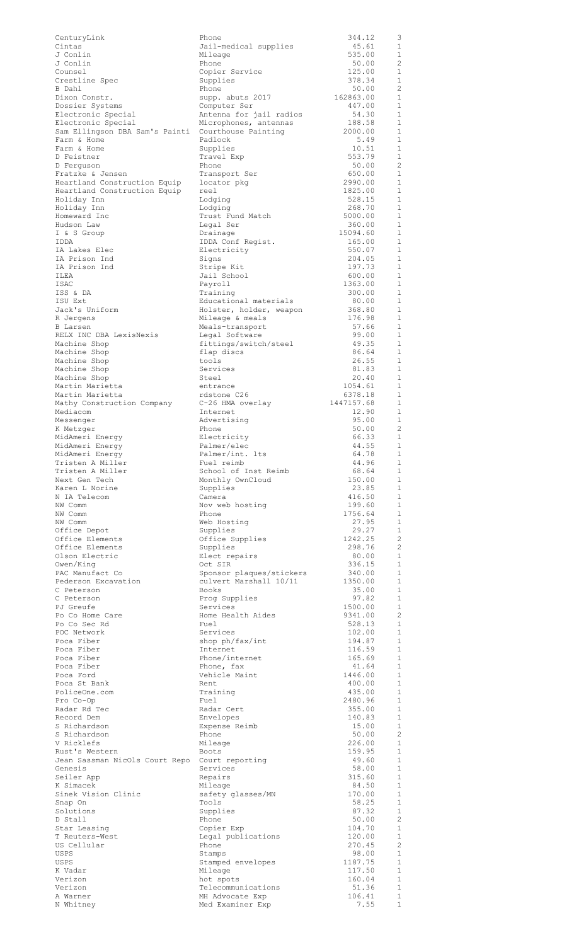| CenturyLink                                        | Phone                    | 344.12         | 3                        |
|----------------------------------------------------|--------------------------|----------------|--------------------------|
| Cintas                                             | Jail-medical supplies    | 45.61          | 1                        |
| J Conlin                                           | Mileage                  | 535.00         | 1                        |
| J Conlin                                           | Phone                    | 50.00          | 2                        |
| Counsel                                            | Copier Service           | 125.00         | 1                        |
|                                                    |                          | 378.34         | $\mathbf{1}$             |
| Crestline Spec                                     | Supplies                 |                |                          |
| B Dahl                                             | Phone                    | 50.00          | $\overline{2}$           |
| Dixon Constr.                                      | supp. abuts 2017         | 162863.00      | 1                        |
| Dossier Systems                                    | Computer Ser             | 447.00         | $\mathbf{1}$             |
| Electronic Special                                 | Antenna for jail radios  | 54.30          | 1                        |
| Electronic Special                                 | Microphones, antennas    | 188.58         | $\mathbf{1}$             |
| Sam Ellingson DBA Sam's Painti Courthouse Painting |                          | 2000.00        | 1                        |
| Farm & Home                                        | Padlock                  | 5.49           | $\mathbf{1}$             |
| Farm & Home                                        | Supplies                 | 10.51          | 1                        |
| D Feistner                                         | Travel Exp               | 553.79         | $\mathbf{1}$             |
| D Ferguson                                         | Phone                    | 50.00          | $\overline{c}$           |
|                                                    |                          |                | $\mathbf{1}$             |
| Fratzke & Jensen                                   | Transport Ser            | 650.00         |                          |
| Heartland Construction Equip                       | locator pkg              | 2990.00        | 1                        |
| Heartland Construction Equip                       | reel                     | 1825.00        | $\mathbf{1}$             |
| Holiday Inn                                        | Lodging                  | 528.15         | 1                        |
| Holiday Inn                                        | Lodging                  | 268.70         | $\mathbf{1}$             |
| Homeward Inc                                       | Trust Fund Match         | 5000.00        | 1                        |
| Hudson Law                                         | Legal Ser                | 360.00         | 1                        |
| I & S Group                                        | Drainage                 | 15094.60       | 1                        |
| IDDA                                               | IDDA Conf Regist.        | 165.00         | 1                        |
| IA Lakes Elec                                      |                          |                | 1                        |
|                                                    | Electricity              | 550.07         |                          |
| IA Prison Ind                                      | Signs                    | 204.05         | 1                        |
| IA Prison Ind                                      | Stripe Kit               | 197.73         | 1                        |
| ILEA                                               | Jail School              | 600.00         | $\mathbf{1}$             |
| ISAC                                               | Payroll                  | 1363.00        | 1                        |
| ISS & DA                                           | Training                 | 300.00         | $\mathbf{1}$             |
| ISU Ext                                            | Educational materials    | 80.00          | 1                        |
| Jack's Uniform                                     | Holster, holder, weapon  | 368.80         | 1                        |
| R Jergens                                          |                          | 176.98         | 1                        |
|                                                    | Mileage & meals          | 57.66          | 1                        |
| B Larsen                                           | Meals-transport          |                |                          |
| RELX INC DBA LexisNexis                            | Legal Software           | 99.00          | 1                        |
| Machine Shop                                       | fittings/switch/steel    | 49.35          | 1                        |
| Machine Shop                                       | flap discs               | 86.64          | 1                        |
| Machine Shop                                       | tools                    | 26.55          | $\mathbf{1}$             |
| Machine Shop                                       | Services                 | 81.83          | 1                        |
| Machine Shop                                       | Steel                    | 20.40          | $\mathbf{1}$             |
| Martin Marietta                                    | entrance                 | 1054.61        | 1                        |
| Martin Marietta                                    | rdstone C26              | 6378.18        | 1                        |
| Mathy Construction Company                         | C-26 HMA overlay         | 1447157.68     | 1                        |
|                                                    |                          |                | 1                        |
| Mediacom                                           | Internet                 | 12.90          |                          |
| Messenger                                          | Advertising              | 95.00          | 1                        |
| K Metzger                                          | Phone                    | 50.00          | -2                       |
| MidAmeri Energy                                    | Electricity              | 66.33          | 1                        |
| MidAmeri Energy                                    | Palmer/elec              | 44.55          | 1                        |
| MidAmeri Energy                                    | Palmer/int. lts          | 64.78          | $\overline{\phantom{0}}$ |
| Tristen A Miller                                   | Fuel reimb               | 44.96          | 1                        |
| Tristen A Miller                                   | School of Inst Reimb     | 68.64          | $\overline{1}$           |
| Next Gen Tech                                      | Monthly OwnCloud         | 150.00         | -1                       |
| Karen L Norine                                     | Supplies                 | 23.85          | <sup>1</sup>             |
|                                                    |                          |                |                          |
| N IA Telecom                                       | Camera                   | 416.50         | 1                        |
| NW Comm                                            | Nov web hosting          | 199.60         | $\mathbf{1}$             |
| NW Comm                                            | Phone                    | 1756.64        | $\mathbf{1}$             |
| NW Comm                                            | Web Hosting              | 27.95          | $\mathbf{1}$             |
| Office Depot                                       | Supplies                 | 29.27          | 1                        |
| Office Elements                                    | Office Supplies          | 1242.25        | $\overline{2}$           |
| Office Elements                                    | Supplies                 | 298.76         | $\overline{2}$           |
| Olson Electric                                     | Elect repairs            | 80.00          | $\mathbf{1}$             |
| Owen/King                                          | Oct SIR                  | 336.15         | $\mathbf{1}$             |
|                                                    |                          |                | $\mathbf{1}$             |
| PAC Manufact Co                                    | Sponsor plaques/stickers | 340.00         |                          |
| Pederson Excavation                                | culvert Marshall 10/11   | 1350.00        | 1                        |
| C Peterson                                         | Books                    | 35.00          | $\mathbf{1}$             |
| C Peterson                                         | Prog Supplies            | 97.82          | 1                        |
| PJ Greufe                                          | Services                 | 1500.00        | $\mathbf{1}$             |
| Po Co Home Care                                    | Home Health Aides        | 9341.00        | $\overline{c}$           |
| Po Co Sec Rd                                       | Fuel                     | 528.13         | 1                        |
| POC Network                                        | Services                 | 102.00         | 1                        |
| Poca Fiber                                         | shop ph/fax/int          | 194.87         | 1                        |
| Poca Fiber                                         | Internet                 | 116.59         | 1                        |
| Poca Fiber                                         | Phone/internet           | 165.69         | 1                        |
| Poca Fiber                                         | Phone, fax               |                | 1                        |
|                                                    |                          | 41.64          |                          |
| Poca Ford                                          |                          |                |                          |
| Poca St Bank                                       | Vehicle Maint            | 1446.00        | 1                        |
| PoliceOne.com                                      | Rent                     | 400.00         | 1                        |
|                                                    | Training                 | 435.00         | 1                        |
| Pro Co-Op                                          | Fuel                     | 2480.96        | 1                        |
| Radar Rd Tec                                       | Radar Cert               | 355.00         | 1                        |
| Record Dem                                         |                          | 140.83         | 1                        |
|                                                    | Envelopes                |                |                          |
| S Richardson<br>S Richardson                       | Expense Reimb<br>Phone   | 15.00<br>50.00 | 1<br>$\overline{2}$      |
|                                                    |                          |                |                          |
| V Ricklefs                                         | Mileage                  | 226.00         | 1                        |
| Rust's Western                                     | Boots                    | 159.95         | $\mathbf{1}$             |
| Jean Sassman NicOls Court Repo Court reporting     |                          | 49.60          | 1                        |
| Genesis                                            | Services                 | 58.00          | $\mathbf{1}$             |
| Seiler App                                         | Repairs                  | 315.60         | 1                        |
| K Simacek                                          | Mileage                  | 84.50          | $\mathbf{1}$             |
| Sinek Vision Clinic                                | safety glasses/MN        | 170.00         | 1                        |
| Snap On                                            | Tools                    | 58.25          | 1                        |
| Solutions                                          | Supplies                 | 87.32          | 1                        |
| D Stall                                            | Phone                    | 50.00          | $\overline{2}$           |
| Star Leasing                                       |                          | 104.70         | 1                        |
|                                                    | Copier Exp               |                |                          |
| T Reuters-West                                     | Legal publications       | 120.00         | $\mathbf{1}$             |
| US Cellular                                        | Phone                    | 270.45         | -2                       |
| USPS                                               | Stamps                   | 98.00          | -1                       |
| USPS                                               | Stamped envelopes        | 1187.75        | -1                       |
| K Vadar                                            | Mileage                  | 117.50         | $\mathbf{1}$             |
| Verizon                                            | hot spots                | 160.04         | 1                        |
| Verizon                                            | Telecommunications       | 51.36          | 1                        |
| A Warner                                           | MH Advocate Exp          | 106.41         | 1<br>$\,1\,$             |